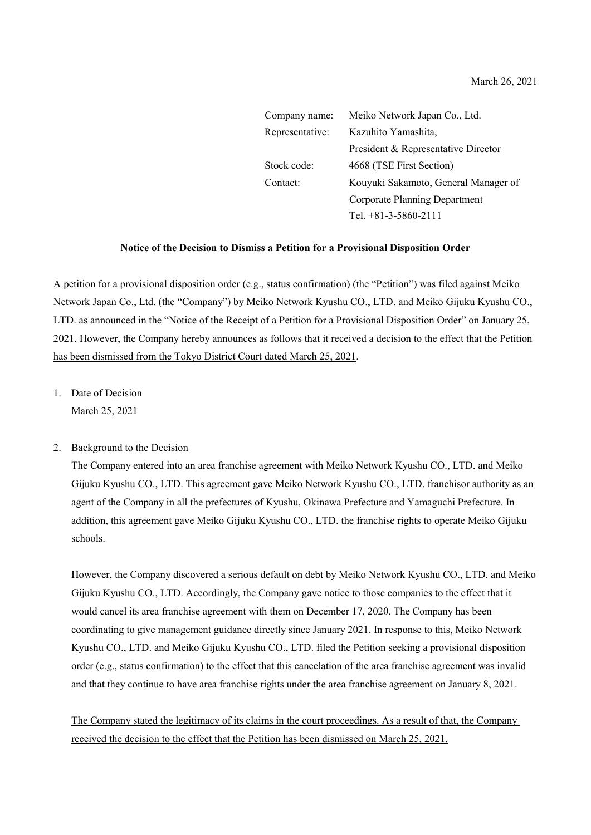| Company name:   | Meiko Network Japan Co., Ltd.        |
|-----------------|--------------------------------------|
| Representative: | Kazuhito Yamashita,                  |
|                 | President & Representative Director  |
| Stock code:     | 4668 (TSE First Section)             |
| Contact:        | Kouyuki Sakamoto, General Manager of |
|                 | Corporate Planning Department        |
|                 | Tel. $+81-3-5860-2111$               |

## **Notice of the Decision to Dismiss a Petition for a Provisional Disposition Order**

A petition for a provisional disposition order (e.g., status confirmation) (the "Petition") was filed against Meiko Network Japan Co., Ltd. (the "Company") by Meiko Network Kyushu CO., LTD. and Meiko Gijuku Kyushu CO., LTD. as announced in the "Notice of the Receipt of a Petition for a Provisional Disposition Order" on January 25, 2021. However, the Company hereby announces as follows that it received a decision to the effect that the Petition has been dismissed from the Tokyo District Court dated March 25, 2021.

1. Date of Decision March 25, 2021

## 2. Background to the Decision

The Company entered into an area franchise agreement with Meiko Network Kyushu CO., LTD. and Meiko Gijuku Kyushu CO., LTD. This agreement gave Meiko Network Kyushu CO., LTD. franchisor authority as an agent of the Company in all the prefectures of Kyushu, Okinawa Prefecture and Yamaguchi Prefecture. In addition, this agreement gave Meiko Gijuku Kyushu CO., LTD. the franchise rights to operate Meiko Gijuku schools.

However, the Company discovered a serious default on debt by Meiko Network Kyushu CO., LTD. and Meiko Gijuku Kyushu CO., LTD. Accordingly, the Company gave notice to those companies to the effect that it would cancel its area franchise agreement with them on December 17, 2020. The Company has been coordinating to give management guidance directly since January 2021. In response to this, Meiko Network Kyushu CO., LTD. and Meiko Gijuku Kyushu CO., LTD. filed the Petition seeking a provisional disposition order (e.g., status confirmation) to the effect that this cancelation of the area franchise agreement was invalid and that they continue to have area franchise rights under the area franchise agreement on January 8, 2021.

The Company stated the legitimacy of its claims in the court proceedings. As a result of that, the Company received the decision to the effect that the Petition has been dismissed on March 25, 2021.